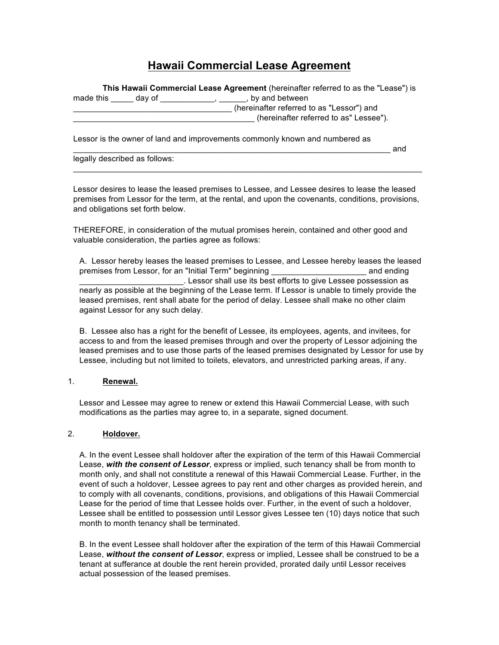# **Hawaii Commercial Lease Agreement**

|                                                                             | This Hawaii Commercial Lease Agreement (hereinafter referred to as the "Lease") is |
|-----------------------------------------------------------------------------|------------------------------------------------------------------------------------|
| day of<br>made this                                                         | by and between                                                                     |
|                                                                             | (hereinafter referred to as "Lessor") and                                          |
|                                                                             | (hereinafter referred to as" Lessee").                                             |
| Lessor is the owner of land and improvements commonly known and numbered as | and                                                                                |

legally described as follows:

Lessor desires to lease the leased premises to Lessee, and Lessee desires to lease the leased premises from Lessor for the term, at the rental, and upon the covenants, conditions, provisions, and obligations set forth below.

 $\mathcal{L}_\mathcal{L} = \{ \mathcal{L}_\mathcal{L} = \{ \mathcal{L}_\mathcal{L} = \{ \mathcal{L}_\mathcal{L} = \{ \mathcal{L}_\mathcal{L} = \{ \mathcal{L}_\mathcal{L} = \{ \mathcal{L}_\mathcal{L} = \{ \mathcal{L}_\mathcal{L} = \{ \mathcal{L}_\mathcal{L} = \{ \mathcal{L}_\mathcal{L} = \{ \mathcal{L}_\mathcal{L} = \{ \mathcal{L}_\mathcal{L} = \{ \mathcal{L}_\mathcal{L} = \{ \mathcal{L}_\mathcal{L} = \{ \mathcal{L}_\mathcal{$ 

THEREFORE, in consideration of the mutual promises herein, contained and other good and valuable consideration, the parties agree as follows:

A. Lessor hereby leases the leased premises to Lessee, and Lessee hereby leases the leased premises from Lessor, for an "Initial Term" beginning \_\_\_\_\_\_\_\_\_\_\_\_\_\_\_\_\_\_\_\_\_ and ending \_\_\_\_\_\_\_\_\_\_\_\_\_\_\_\_\_\_\_\_\_\_\_. Lessor shall use its best efforts to give Lessee possession as nearly as possible at the beginning of the Lease term. If Lessor is unable to timely provide the leased premises, rent shall abate for the period of delay. Lessee shall make no other claim against Lessor for any such delay.

B. Lessee also has a right for the benefit of Lessee, its employees, agents, and invitees, for access to and from the leased premises through and over the property of Lessor adjoining the leased premises and to use those parts of the leased premises designated by Lessor for use by Lessee, including but not limited to toilets, elevators, and unrestricted parking areas, if any.

## 1. **Renewal.**

Lessor and Lessee may agree to renew or extend this Hawaii Commercial Lease, with such modifications as the parties may agree to, in a separate, signed document.

#### 2. **Holdover.**

A. In the event Lessee shall holdover after the expiration of the term of this Hawaii Commercial Lease, *with the consent of Lessor*, express or implied, such tenancy shall be from month to month only, and shall not constitute a renewal of this Hawaii Commercial Lease. Further, in the event of such a holdover, Lessee agrees to pay rent and other charges as provided herein, and to comply with all covenants, conditions, provisions, and obligations of this Hawaii Commercial Lease for the period of time that Lessee holds over. Further, in the event of such a holdover, Lessee shall be entitled to possession until Lessor gives Lessee ten (10) days notice that such month to month tenancy shall be terminated.

B. In the event Lessee shall holdover after the expiration of the term of this Hawaii Commercial Lease, *without the consent of Lessor*, express or implied, Lessee shall be construed to be a tenant at sufferance at double the rent herein provided, prorated daily until Lessor receives actual possession of the leased premises.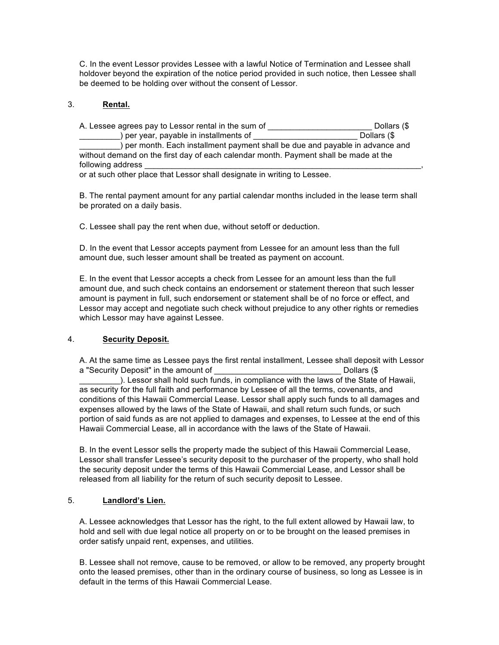C. In the event Lessor provides Lessee with a lawful Notice of Termination and Lessee shall holdover beyond the expiration of the notice period provided in such notice, then Lessee shall be deemed to be holding over without the consent of Lessor.

# 3. **Rental.**

A. Lessee agrees pay to Lessor rental in the sum of \_\_\_\_\_\_\_\_\_\_\_\_\_\_\_\_\_\_\_\_\_\_\_\_\_\_\_\_\_ Dollars (\$ ) per year, payable in installments of Dollars (\$ ) per month. Each installment payment shall be due and payable in advance and without demand on the first day of each calendar month. Payment shall be made at the following address or at such other place that Lessor shall designate in writing to Lessee.

B. The rental payment amount for any partial calendar months included in the lease term shall be prorated on a daily basis.

C. Lessee shall pay the rent when due, without setoff or deduction.

D. In the event that Lessor accepts payment from Lessee for an amount less than the full amount due, such lesser amount shall be treated as payment on account.

E. In the event that Lessor accepts a check from Lessee for an amount less than the full amount due, and such check contains an endorsement or statement thereon that such lesser amount is payment in full, such endorsement or statement shall be of no force or effect, and Lessor may accept and negotiate such check without prejudice to any other rights or remedies which Lessor may have against Lessee.

# 4. **Security Deposit.**

A. At the same time as Lessee pays the first rental installment, Lessee shall deposit with Lessor a "Security Deposit" in the amount of  $\Box$ 

\_\_\_\_\_\_\_\_\_). Lessor shall hold such funds, in compliance with the laws of the State of Hawaii, as security for the full faith and performance by Lessee of all the terms, covenants, and conditions of this Hawaii Commercial Lease. Lessor shall apply such funds to all damages and expenses allowed by the laws of the State of Hawaii, and shall return such funds, or such portion of said funds as are not applied to damages and expenses, to Lessee at the end of this Hawaii Commercial Lease, all in accordance with the laws of the State of Hawaii.

B. In the event Lessor sells the property made the subject of this Hawaii Commercial Lease, Lessor shall transfer Lessee's security deposit to the purchaser of the property, who shall hold the security deposit under the terms of this Hawaii Commercial Lease, and Lessor shall be released from all liability for the return of such security deposit to Lessee.

#### 5. **Landlord's Lien.**

A. Lessee acknowledges that Lessor has the right, to the full extent allowed by Hawaii law, to hold and sell with due legal notice all property on or to be brought on the leased premises in order satisfy unpaid rent, expenses, and utilities.

B. Lessee shall not remove, cause to be removed, or allow to be removed, any property brought onto the leased premises, other than in the ordinary course of business, so long as Lessee is in default in the terms of this Hawaii Commercial Lease.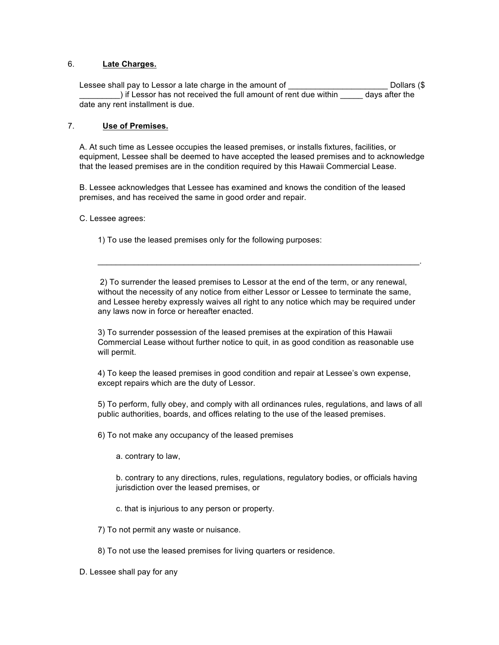# 6. **Late Charges.**

Lessee shall pay to Lessor a late charge in the amount of \_\_\_\_\_\_\_\_\_\_\_\_\_\_\_\_\_\_\_\_\_\_\_\_\_\_\_\_Dollars (\$ ) if Lessor has not received the full amount of rent due within days after the date any rent installment is due.

# 7. **Use of Premises.**

A. At such time as Lessee occupies the leased premises, or installs fixtures, facilities, or equipment, Lessee shall be deemed to have accepted the leased premises and to acknowledge that the leased premises are in the condition required by this Hawaii Commercial Lease.

B. Lessee acknowledges that Lessee has examined and knows the condition of the leased premises, and has received the same in good order and repair.

#### C. Lessee agrees:

1) To use the leased premises only for the following purposes:

2) To surrender the leased premises to Lessor at the end of the term, or any renewal, without the necessity of any notice from either Lessor or Lessee to terminate the same, and Lessee hereby expressly waives all right to any notice which may be required under any laws now in force or hereafter enacted.

 $\mathcal{L}_\mathcal{L} = \{ \mathcal{L}_\mathcal{L} = \{ \mathcal{L}_\mathcal{L} = \{ \mathcal{L}_\mathcal{L} = \{ \mathcal{L}_\mathcal{L} = \{ \mathcal{L}_\mathcal{L} = \{ \mathcal{L}_\mathcal{L} = \{ \mathcal{L}_\mathcal{L} = \{ \mathcal{L}_\mathcal{L} = \{ \mathcal{L}_\mathcal{L} = \{ \mathcal{L}_\mathcal{L} = \{ \mathcal{L}_\mathcal{L} = \{ \mathcal{L}_\mathcal{L} = \{ \mathcal{L}_\mathcal{L} = \{ \mathcal{L}_\mathcal{$ 

3) To surrender possession of the leased premises at the expiration of this Hawaii Commercial Lease without further notice to quit, in as good condition as reasonable use will permit.

4) To keep the leased premises in good condition and repair at Lessee's own expense, except repairs which are the duty of Lessor.

5) To perform, fully obey, and comply with all ordinances rules, regulations, and laws of all public authorities, boards, and offices relating to the use of the leased premises.

6) To not make any occupancy of the leased premises

a. contrary to law,

b. contrary to any directions, rules, regulations, regulatory bodies, or officials having jurisdiction over the leased premises, or

c. that is injurious to any person or property.

7) To not permit any waste or nuisance.

8) To not use the leased premises for living quarters or residence.

D. Lessee shall pay for any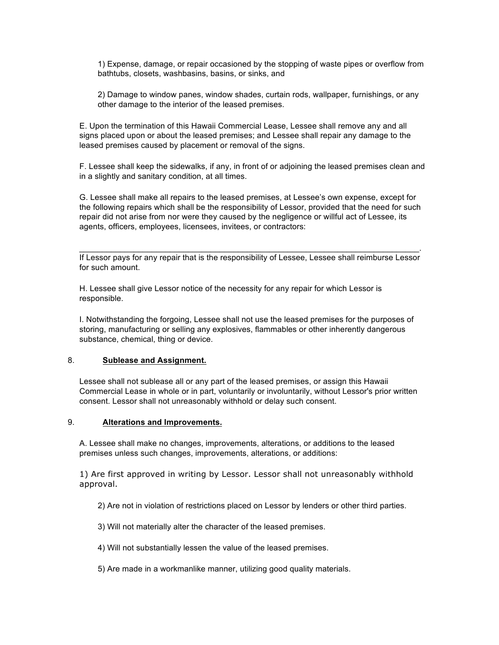1) Expense, damage, or repair occasioned by the stopping of waste pipes or overflow from bathtubs, closets, washbasins, basins, or sinks, and

2) Damage to window panes, window shades, curtain rods, wallpaper, furnishings, or any other damage to the interior of the leased premises.

E. Upon the termination of this Hawaii Commercial Lease, Lessee shall remove any and all signs placed upon or about the leased premises; and Lessee shall repair any damage to the leased premises caused by placement or removal of the signs.

F. Lessee shall keep the sidewalks, if any, in front of or adjoining the leased premises clean and in a slightly and sanitary condition, at all times.

G. Lessee shall make all repairs to the leased premises, at Lessee's own expense, except for the following repairs which shall be the responsibility of Lessor, provided that the need for such repair did not arise from nor were they caused by the negligence or willful act of Lessee, its agents, officers, employees, licensees, invitees, or contractors:

 $\mathcal{L}_\text{max}$  and  $\mathcal{L}_\text{max}$  and  $\mathcal{L}_\text{max}$  and  $\mathcal{L}_\text{max}$  and  $\mathcal{L}_\text{max}$  and  $\mathcal{L}_\text{max}$ If Lessor pays for any repair that is the responsibility of Lessee, Lessee shall reimburse Lessor for such amount.

H. Lessee shall give Lessor notice of the necessity for any repair for which Lessor is responsible.

I. Notwithstanding the forgoing, Lessee shall not use the leased premises for the purposes of storing, manufacturing or selling any explosives, flammables or other inherently dangerous substance, chemical, thing or device.

#### 8. **Sublease and Assignment.**

Lessee shall not sublease all or any part of the leased premises, or assign this Hawaii Commercial Lease in whole or in part, voluntarily or involuntarily, without Lessor's prior written consent. Lessor shall not unreasonably withhold or delay such consent.

#### 9. **Alterations and Improvements.**

A. Lessee shall make no changes, improvements, alterations, or additions to the leased premises unless such changes, improvements, alterations, or additions:

1) Are first approved in writing by Lessor. Lessor shall not unreasonably withhold approval.

2) Are not in violation of restrictions placed on Lessor by lenders or other third parties.

3) Will not materially alter the character of the leased premises.

4) Will not substantially lessen the value of the leased premises.

5) Are made in a workmanlike manner, utilizing good quality materials.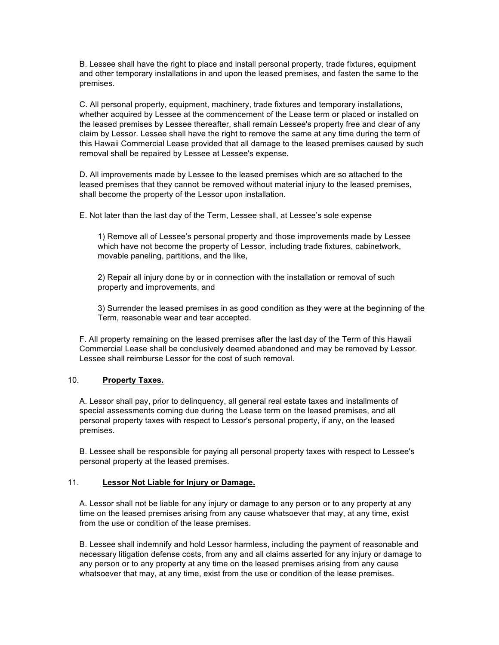B. Lessee shall have the right to place and install personal property, trade fixtures, equipment and other temporary installations in and upon the leased premises, and fasten the same to the premises.

C. All personal property, equipment, machinery, trade fixtures and temporary installations, whether acquired by Lessee at the commencement of the Lease term or placed or installed on the leased premises by Lessee thereafter, shall remain Lessee's property free and clear of any claim by Lessor. Lessee shall have the right to remove the same at any time during the term of this Hawaii Commercial Lease provided that all damage to the leased premises caused by such removal shall be repaired by Lessee at Lessee's expense.

D. All improvements made by Lessee to the leased premises which are so attached to the leased premises that they cannot be removed without material injury to the leased premises, shall become the property of the Lessor upon installation.

E. Not later than the last day of the Term, Lessee shall, at Lessee's sole expense

1) Remove all of Lessee's personal property and those improvements made by Lessee which have not become the property of Lessor, including trade fixtures, cabinetwork, movable paneling, partitions, and the like,

2) Repair all injury done by or in connection with the installation or removal of such property and improvements, and

3) Surrender the leased premises in as good condition as they were at the beginning of the Term, reasonable wear and tear accepted.

F. All property remaining on the leased premises after the last day of the Term of this Hawaii Commercial Lease shall be conclusively deemed abandoned and may be removed by Lessor. Lessee shall reimburse Lessor for the cost of such removal.

# 10. **Property Taxes.**

A. Lessor shall pay, prior to delinquency, all general real estate taxes and installments of special assessments coming due during the Lease term on the leased premises, and all personal property taxes with respect to Lessor's personal property, if any, on the leased premises.

B. Lessee shall be responsible for paying all personal property taxes with respect to Lessee's personal property at the leased premises.

#### 11. **Lessor Not Liable for Injury or Damage.**

A. Lessor shall not be liable for any injury or damage to any person or to any property at any time on the leased premises arising from any cause whatsoever that may, at any time, exist from the use or condition of the lease premises.

B. Lessee shall indemnify and hold Lessor harmless, including the payment of reasonable and necessary litigation defense costs, from any and all claims asserted for any injury or damage to any person or to any property at any time on the leased premises arising from any cause whatsoever that may, at any time, exist from the use or condition of the lease premises.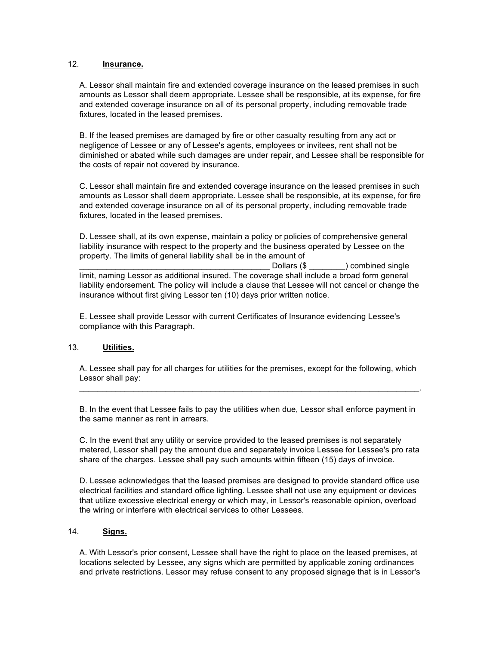# 12. **Insurance.**

A. Lessor shall maintain fire and extended coverage insurance on the leased premises in such amounts as Lessor shall deem appropriate. Lessee shall be responsible, at its expense, for fire and extended coverage insurance on all of its personal property, including removable trade fixtures, located in the leased premises.

B. If the leased premises are damaged by fire or other casualty resulting from any act or negligence of Lessee or any of Lessee's agents, employees or invitees, rent shall not be diminished or abated while such damages are under repair, and Lessee shall be responsible for the costs of repair not covered by insurance.

C. Lessor shall maintain fire and extended coverage insurance on the leased premises in such amounts as Lessor shall deem appropriate. Lessee shall be responsible, at its expense, for fire and extended coverage insurance on all of its personal property, including removable trade fixtures, located in the leased premises.

D. Lessee shall, at its own expense, maintain a policy or policies of comprehensive general liability insurance with respect to the property and the business operated by Lessee on the property. The limits of general liability shall be in the amount of

Dollars (\$ ) combined single limit, naming Lessor as additional insured. The coverage shall include a broad form general liability endorsement. The policy will include a clause that Lessee will not cancel or change the insurance without first giving Lessor ten (10) days prior written notice.

E. Lessee shall provide Lessor with current Certificates of Insurance evidencing Lessee's compliance with this Paragraph.

#### 13. **Utilities.**

A. Lessee shall pay for all charges for utilities for the premises, except for the following, which Lessor shall pay:  $\mathcal{L}_\mathcal{L} = \{ \mathcal{L}_\mathcal{L} = \{ \mathcal{L}_\mathcal{L} = \{ \mathcal{L}_\mathcal{L} = \{ \mathcal{L}_\mathcal{L} = \{ \mathcal{L}_\mathcal{L} = \{ \mathcal{L}_\mathcal{L} = \{ \mathcal{L}_\mathcal{L} = \{ \mathcal{L}_\mathcal{L} = \{ \mathcal{L}_\mathcal{L} = \{ \mathcal{L}_\mathcal{L} = \{ \mathcal{L}_\mathcal{L} = \{ \mathcal{L}_\mathcal{L} = \{ \mathcal{L}_\mathcal{L} = \{ \mathcal{L}_\mathcal{$ 

B. In the event that Lessee fails to pay the utilities when due, Lessor shall enforce payment in the same manner as rent in arrears.

C. In the event that any utility or service provided to the leased premises is not separately metered, Lessor shall pay the amount due and separately invoice Lessee for Lessee's pro rata share of the charges. Lessee shall pay such amounts within fifteen (15) days of invoice.

D. Lessee acknowledges that the leased premises are designed to provide standard office use electrical facilities and standard office lighting. Lessee shall not use any equipment or devices that utilize excessive electrical energy or which may, in Lessor's reasonable opinion, overload the wiring or interfere with electrical services to other Lessees.

#### 14. **Signs.**

A. With Lessor's prior consent, Lessee shall have the right to place on the leased premises, at locations selected by Lessee, any signs which are permitted by applicable zoning ordinances and private restrictions. Lessor may refuse consent to any proposed signage that is in Lessor's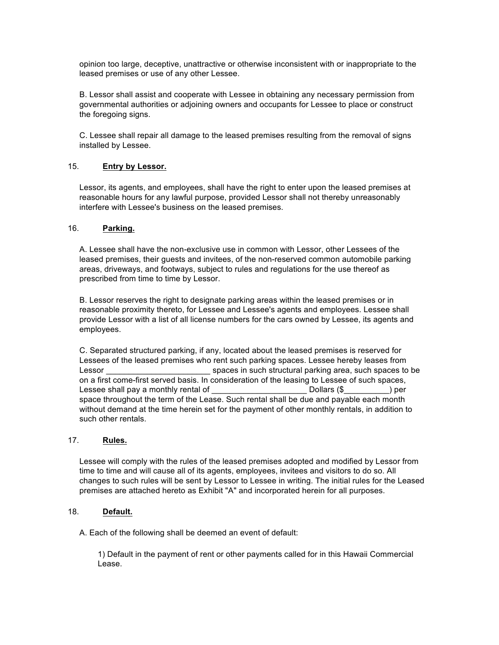opinion too large, deceptive, unattractive or otherwise inconsistent with or inappropriate to the leased premises or use of any other Lessee.

B. Lessor shall assist and cooperate with Lessee in obtaining any necessary permission from governmental authorities or adjoining owners and occupants for Lessee to place or construct the foregoing signs.

C. Lessee shall repair all damage to the leased premises resulting from the removal of signs installed by Lessee.

## 15. **Entry by Lessor.**

Lessor, its agents, and employees, shall have the right to enter upon the leased premises at reasonable hours for any lawful purpose, provided Lessor shall not thereby unreasonably interfere with Lessee's business on the leased premises.

## 16. **Parking.**

A. Lessee shall have the non-exclusive use in common with Lessor, other Lessees of the leased premises, their guests and invitees, of the non-reserved common automobile parking areas, driveways, and footways, subject to rules and regulations for the use thereof as prescribed from time to time by Lessor.

B. Lessor reserves the right to designate parking areas within the leased premises or in reasonable proximity thereto, for Lessee and Lessee's agents and employees. Lessee shall provide Lessor with a list of all license numbers for the cars owned by Lessee, its agents and employees.

C. Separated structured parking, if any, located about the leased premises is reserved for Lessees of the leased premises who rent such parking spaces. Lessee hereby leases from Lessor \_\_\_\_\_\_\_\_\_\_\_\_\_\_\_\_\_\_\_\_\_\_\_ spaces in such structural parking area, such spaces to be on a first come-first served basis. In consideration of the leasing to Lessee of such spaces, Lessee shall pay a monthly rental of Theorem Collars (\$ Theorem 2011) per space throughout the term of the Lease. Such rental shall be due and payable each month without demand at the time herein set for the payment of other monthly rentals, in addition to such other rentals.

#### 17. **Rules.**

Lessee will comply with the rules of the leased premises adopted and modified by Lessor from time to time and will cause all of its agents, employees, invitees and visitors to do so. All changes to such rules will be sent by Lessor to Lessee in writing. The initial rules for the Leased premises are attached hereto as Exhibit "A" and incorporated herein for all purposes.

# 18. **Default.**

A. Each of the following shall be deemed an event of default:

1) Default in the payment of rent or other payments called for in this Hawaii Commercial Lease.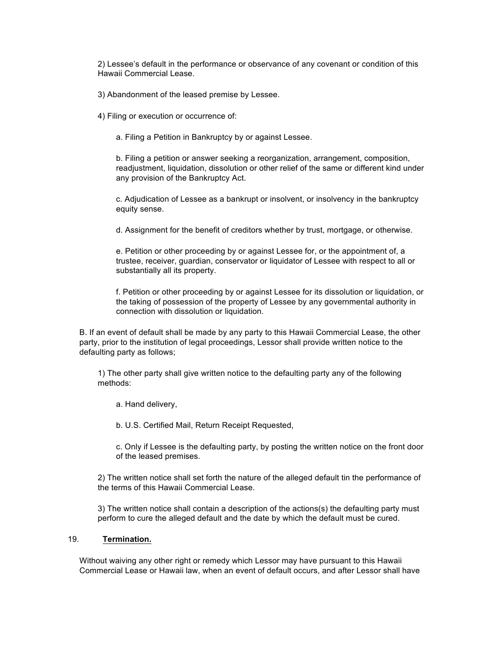2) Lessee's default in the performance or observance of any covenant or condition of this Hawaii Commercial Lease.

3) Abandonment of the leased premise by Lessee.

4) Filing or execution or occurrence of:

a. Filing a Petition in Bankruptcy by or against Lessee.

b. Filing a petition or answer seeking a reorganization, arrangement, composition, readjustment, liquidation, dissolution or other relief of the same or different kind under any provision of the Bankruptcy Act.

c. Adjudication of Lessee as a bankrupt or insolvent, or insolvency in the bankruptcy equity sense.

d. Assignment for the benefit of creditors whether by trust, mortgage, or otherwise.

e. Petition or other proceeding by or against Lessee for, or the appointment of, a trustee, receiver, guardian, conservator or liquidator of Lessee with respect to all or substantially all its property.

f. Petition or other proceeding by or against Lessee for its dissolution or liquidation, or the taking of possession of the property of Lessee by any governmental authority in connection with dissolution or liquidation.

B. If an event of default shall be made by any party to this Hawaii Commercial Lease, the other party, prior to the institution of legal proceedings, Lessor shall provide written notice to the defaulting party as follows;

1) The other party shall give written notice to the defaulting party any of the following methods:

a. Hand delivery,

b. U.S. Certified Mail, Return Receipt Requested,

c. Only if Lessee is the defaulting party, by posting the written notice on the front door of the leased premises.

2) The written notice shall set forth the nature of the alleged default tin the performance of the terms of this Hawaii Commercial Lease.

3) The written notice shall contain a description of the actions(s) the defaulting party must perform to cure the alleged default and the date by which the default must be cured.

#### 19. **Termination.**

Without waiving any other right or remedy which Lessor may have pursuant to this Hawaii Commercial Lease or Hawaii law, when an event of default occurs, and after Lessor shall have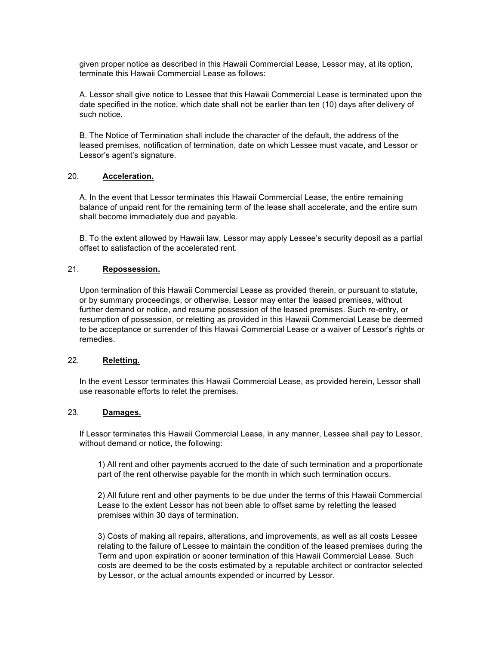given proper notice as described in this Hawaii Commercial Lease, Lessor may, at its option, terminate this Hawaii Commercial Lease as follows:

A. Lessor shall give notice to Lessee that this Hawaii Commercial Lease is terminated upon the date specified in the notice, which date shall not be earlier than ten (10) days after delivery of such notice.

B. The Notice of Termination shall include the character of the default, the address of the leased premises, notification of termination, date on which Lessee must vacate, and Lessor or Lessor's agent's signature.

## 20. **Acceleration.**

A. In the event that Lessor terminates this Hawaii Commercial Lease, the entire remaining balance of unpaid rent for the remaining term of the lease shall accelerate, and the entire sum shall become immediately due and payable.

B. To the extent allowed by Hawaii law, Lessor may apply Lessee's security deposit as a partial offset to satisfaction of the accelerated rent.

## 21. **Repossession.**

Upon termination of this Hawaii Commercial Lease as provided therein, or pursuant to statute, or by summary proceedings, or otherwise, Lessor may enter the leased premises, without further demand or notice, and resume possession of the leased premises. Such re-entry, or resumption of possession, or reletting as provided in this Hawaii Commercial Lease be deemed to be acceptance or surrender of this Hawaii Commercial Lease or a waiver of Lessor's rights or remedies.

# 22. **Reletting.**

In the event Lessor terminates this Hawaii Commercial Lease, as provided herein, Lessor shall use reasonable efforts to relet the premises.

# 23. **Damages.**

If Lessor terminates this Hawaii Commercial Lease, in any manner, Lessee shall pay to Lessor, without demand or notice, the following:

1) All rent and other payments accrued to the date of such termination and a proportionate part of the rent otherwise payable for the month in which such termination occurs.

2) All future rent and other payments to be due under the terms of this Hawaii Commercial Lease to the extent Lessor has not been able to offset same by reletting the leased premises within 30 days of termination.

3) Costs of making all repairs, alterations, and improvements, as well as all costs Lessee relating to the failure of Lessee to maintain the condition of the leased premises during the Term and upon expiration or sooner termination of this Hawaii Commercial Lease. Such costs are deemed to be the costs estimated by a reputable architect or contractor selected by Lessor, or the actual amounts expended or incurred by Lessor.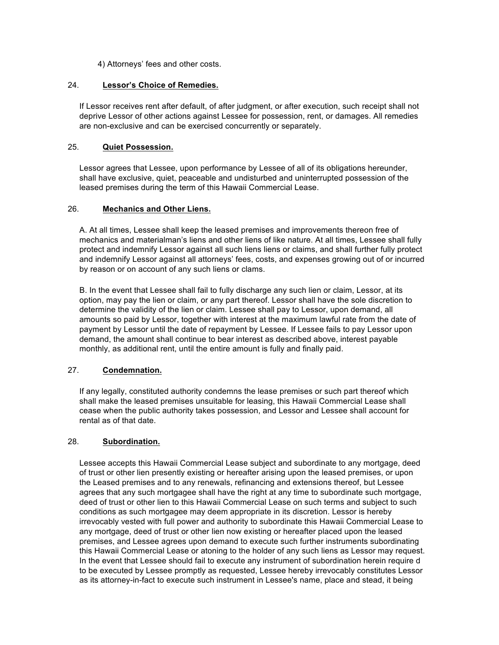4) Attorneys' fees and other costs.

# 24. **Lessor's Choice of Remedies.**

If Lessor receives rent after default, of after judgment, or after execution, such receipt shall not deprive Lessor of other actions against Lessee for possession, rent, or damages. All remedies are non-exclusive and can be exercised concurrently or separately.

# 25. **Quiet Possession.**

Lessor agrees that Lessee, upon performance by Lessee of all of its obligations hereunder, shall have exclusive, quiet, peaceable and undisturbed and uninterrupted possession of the leased premises during the term of this Hawaii Commercial Lease.

## 26. **Mechanics and Other Liens.**

A. At all times, Lessee shall keep the leased premises and improvements thereon free of mechanics and materialman's liens and other liens of like nature. At all times, Lessee shall fully protect and indemnify Lessor against all such liens liens or claims, and shall further fully protect and indemnify Lessor against all attorneys' fees, costs, and expenses growing out of or incurred by reason or on account of any such liens or clams.

B. In the event that Lessee shall fail to fully discharge any such lien or claim, Lessor, at its option, may pay the lien or claim, or any part thereof. Lessor shall have the sole discretion to determine the validity of the lien or claim. Lessee shall pay to Lessor, upon demand, all amounts so paid by Lessor, together with interest at the maximum lawful rate from the date of payment by Lessor until the date of repayment by Lessee. If Lessee fails to pay Lessor upon demand, the amount shall continue to bear interest as described above, interest payable monthly, as additional rent, until the entire amount is fully and finally paid.

#### 27. **Condemnation.**

If any legally, constituted authority condemns the lease premises or such part thereof which shall make the leased premises unsuitable for leasing, this Hawaii Commercial Lease shall cease when the public authority takes possession, and Lessor and Lessee shall account for rental as of that date.

# 28. **Subordination.**

Lessee accepts this Hawaii Commercial Lease subject and subordinate to any mortgage, deed of trust or other lien presently existing or hereafter arising upon the leased premises, or upon the Leased premises and to any renewals, refinancing and extensions thereof, but Lessee agrees that any such mortgagee shall have the right at any time to subordinate such mortgage, deed of trust or other lien to this Hawaii Commercial Lease on such terms and subject to such conditions as such mortgagee may deem appropriate in its discretion. Lessor is hereby irrevocably vested with full power and authority to subordinate this Hawaii Commercial Lease to any mortgage, deed of trust or other lien now existing or hereafter placed upon the leased premises, and Lessee agrees upon demand to execute such further instruments subordinating this Hawaii Commercial Lease or atoning to the holder of any such liens as Lessor may request. In the event that Lessee should fail to execute any instrument of subordination herein require d to be executed by Lessee promptly as requested, Lessee hereby irrevocably constitutes Lessor as its attorney-in-fact to execute such instrument in Lessee's name, place and stead, it being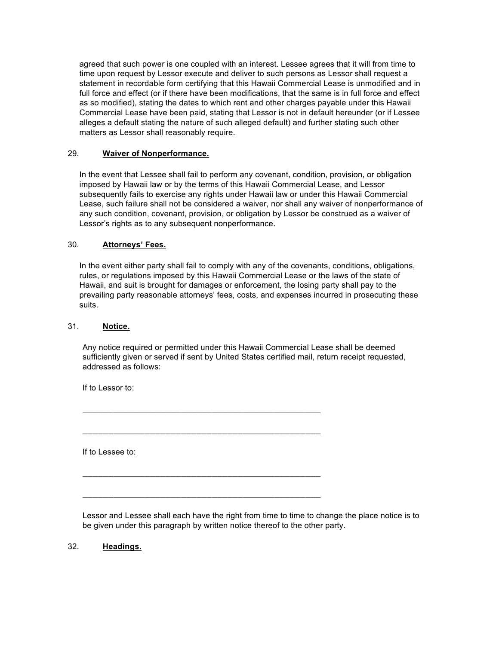agreed that such power is one coupled with an interest. Lessee agrees that it will from time to time upon request by Lessor execute and deliver to such persons as Lessor shall request a statement in recordable form certifying that this Hawaii Commercial Lease is unmodified and in full force and effect (or if there have been modifications, that the same is in full force and effect as so modified), stating the dates to which rent and other charges payable under this Hawaii Commercial Lease have been paid, stating that Lessor is not in default hereunder (or if Lessee alleges a default stating the nature of such alleged default) and further stating such other matters as Lessor shall reasonably require.

# 29. **Waiver of Nonperformance.**

In the event that Lessee shall fail to perform any covenant, condition, provision, or obligation imposed by Hawaii law or by the terms of this Hawaii Commercial Lease, and Lessor subsequently fails to exercise any rights under Hawaii law or under this Hawaii Commercial Lease, such failure shall not be considered a waiver, nor shall any waiver of nonperformance of any such condition, covenant, provision, or obligation by Lessor be construed as a waiver of Lessor's rights as to any subsequent nonperformance.

# 30. **Attorneys' Fees.**

In the event either party shall fail to comply with any of the covenants, conditions, obligations, rules, or regulations imposed by this Hawaii Commercial Lease or the laws of the state of Hawaii, and suit is brought for damages or enforcement, the losing party shall pay to the prevailing party reasonable attorneys' fees, costs, and expenses incurred in prosecuting these suits.

# 31. **Notice.**

Any notice required or permitted under this Hawaii Commercial Lease shall be deemed sufficiently given or served if sent by United States certified mail, return receipt requested, addressed as follows:

\_\_\_\_\_\_\_\_\_\_\_\_\_\_\_\_\_\_\_\_\_\_\_\_\_\_\_\_\_\_\_\_\_\_\_\_\_\_\_\_\_\_\_\_\_\_

\_\_\_\_\_\_\_\_\_\_\_\_\_\_\_\_\_\_\_\_\_\_\_\_\_\_\_\_\_\_\_\_\_\_\_\_\_\_\_\_\_\_\_\_\_\_

\_\_\_\_\_\_\_\_\_\_\_\_\_\_\_\_\_\_\_\_\_\_\_\_\_\_\_\_\_\_\_\_\_\_\_\_\_\_\_\_\_\_\_\_\_\_

\_\_\_\_\_\_\_\_\_\_\_\_\_\_\_\_\_\_\_\_\_\_\_\_\_\_\_\_\_\_\_\_\_\_\_\_\_\_\_\_\_\_\_\_\_\_

If to Lessor to:

If to Lessee to:

Lessor and Lessee shall each have the right from time to time to change the place notice is to be given under this paragraph by written notice thereof to the other party.

32. **Headings.**